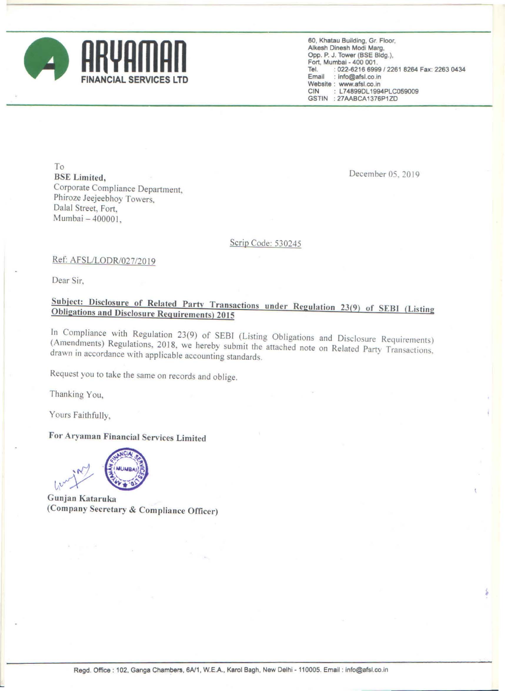

**60, Khatau Building, Gr. Floor, Alkesh Dinesh Modi Marg,**  Opp, P. J. Tower (BSE Bldg.), Fort, Mumbal - 400 001 , Tel. : 022-6216 6999/2261 8264 Fax: 2263 0434 **Email : Info@afsLco.ln Website : www.afsl.co.in <br>CIN : L74899DL1994** : L74899DL1994PLC059009 GSTIN : 27AABCA1376P1ZD

To BSE Limited, Corporate Compliance Department, Phiroze Jeejeebhoy Towers. Dalal Street, Fort, Mumbai - 400001,

December OS, 2019

### Scrip Code: 530245

#### Ref: AFSL/LODR/027/2019

Dear Sir,

# Subject: Disclosure of Related Party Transactions under Regulation 23(9) of SEBI (Listing Obligations and Disclosure Requirements) 2015

In Compliance with Regulation 23(9) of SEBI (Listing Obligations and Disclosure Requirements) (Amendments) Regulations, 2018, we hereby submit the attached note on Related Party Transactions, drawn in accordance with applicable accounting standards,

Request you to take the same on records and oblige,

Thanking You,

Yours Faithfully,

## For Aryaman Financial Services Limited



Gunjan Kataruka (Company Secretary & Compliance Officer)